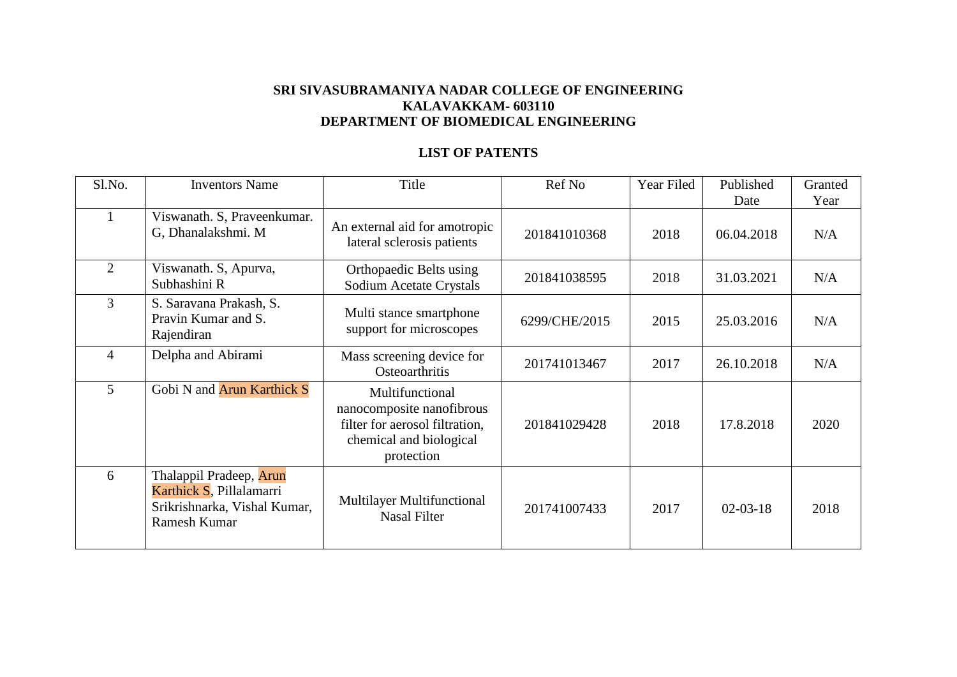## **SRI SIVASUBRAMANIYA NADAR COLLEGE OF ENGINEERING KALAVAKKAM- 603110 DEPARTMENT OF BIOMEDICAL ENGINEERING**

## **LIST OF PATENTS**

| Sl.No.         | <b>Inventors Name</b>                                                                               | Title                                                                                                                   | Ref No        | Year Filed | Published      | Granted |
|----------------|-----------------------------------------------------------------------------------------------------|-------------------------------------------------------------------------------------------------------------------------|---------------|------------|----------------|---------|
|                |                                                                                                     |                                                                                                                         |               |            | Date           | Year    |
|                | Viswanath. S, Praveenkumar.<br>G, Dhanalakshmi. M                                                   | An external aid for amotropic<br>lateral sclerosis patients                                                             | 201841010368  | 2018       | 06.04.2018     | N/A     |
| $\overline{2}$ | Viswanath. S, Apurva,<br>Subhashini R                                                               | Orthopaedic Belts using<br>Sodium Acetate Crystals                                                                      | 201841038595  | 2018       | 31.03.2021     | N/A     |
| 3              | S. Saravana Prakash, S.<br>Pravin Kumar and S.<br>Rajendiran                                        | Multi stance smartphone<br>support for microscopes                                                                      | 6299/CHE/2015 | 2015       | 25.03.2016     | N/A     |
| $\overline{4}$ | Delpha and Abirami                                                                                  | Mass screening device for<br>Osteoarthritis                                                                             | 201741013467  | 2017       | 26.10.2018     | N/A     |
| 5              | Gobi N and Arun Karthick S                                                                          | Multifunctional<br>nanocomposite nanofibrous<br>filter for aerosol filtration,<br>chemical and biological<br>protection | 201841029428  | 2018       | 17.8.2018      | 2020    |
| 6              | Thalappil Pradeep, Arun<br>Karthick S, Pillalamarri<br>Srikrishnarka, Vishal Kumar,<br>Ramesh Kumar | <b>Multilayer Multifunctional</b><br><b>Nasal Filter</b>                                                                | 201741007433  | 2017       | $02 - 03 - 18$ | 2018    |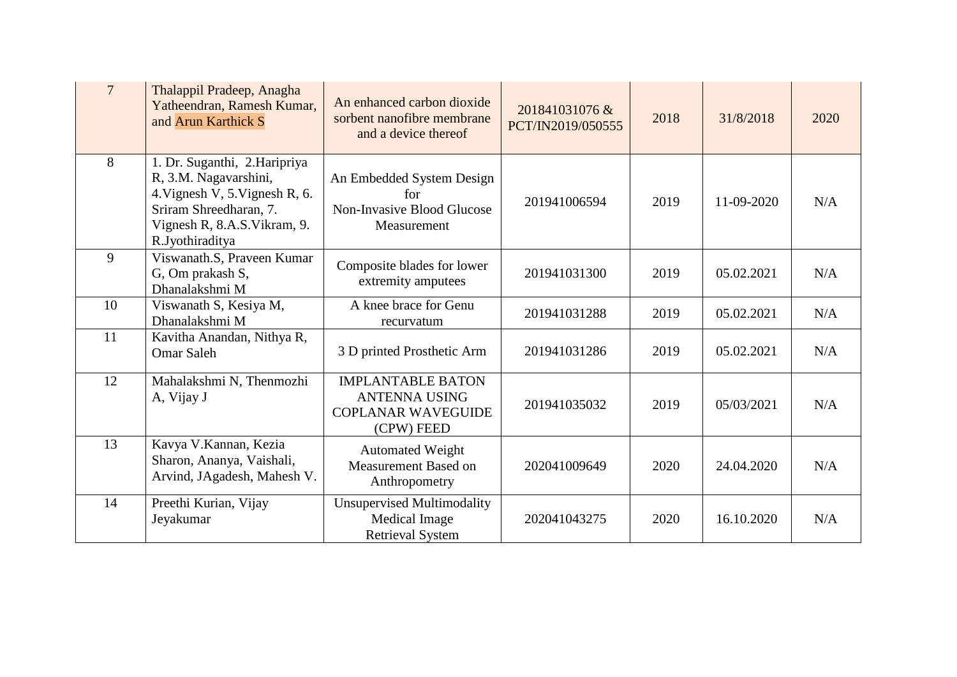| $\overline{7}$ | Thalappil Pradeep, Anagha<br>Yatheendran, Ramesh Kumar,<br>and Arun Karthick S                                                                                       | An enhanced carbon dioxide<br>sorbent nanofibre membrane<br>and a device thereof            | 201841031076 &<br>PCT/IN2019/050555 | 2018 | 31/8/2018  | 2020 |
|----------------|----------------------------------------------------------------------------------------------------------------------------------------------------------------------|---------------------------------------------------------------------------------------------|-------------------------------------|------|------------|------|
| 8              | 1. Dr. Suganthi, 2. Haripriya<br>R, 3.M. Nagavarshini,<br>4. Vignesh V, 5. Vignesh R, 6.<br>Sriram Shreedharan, 7.<br>Vignesh R, 8.A.S.Vikram, 9.<br>R.Jyothiraditya | An Embedded System Design<br>for<br>Non-Invasive Blood Glucose<br>Measurement               | 201941006594                        | 2019 | 11-09-2020 | N/A  |
| 9              | Viswanath.S, Praveen Kumar<br>G, Om prakash S,<br>Dhanalakshmi M                                                                                                     | Composite blades for lower<br>extremity amputees                                            | 201941031300                        | 2019 | 05.02.2021 | N/A  |
| 10             | Viswanath S, Kesiya M,<br>Dhanalakshmi M                                                                                                                             | A knee brace for Genu<br>recurvatum                                                         | 201941031288                        | 2019 | 05.02.2021 | N/A  |
| 11             | Kavitha Anandan, Nithya R,<br>Omar Saleh                                                                                                                             | 3 D printed Prosthetic Arm                                                                  | 201941031286                        | 2019 | 05.02.2021 | N/A  |
| 12             | Mahalakshmi N, Thenmozhi<br>A, Vijay J                                                                                                                               | <b>IMPLANTABLE BATON</b><br><b>ANTENNA USING</b><br><b>COPLANAR WAVEGUIDE</b><br>(CPW) FEED | 201941035032                        | 2019 | 05/03/2021 | N/A  |
| 13             | Kavya V.Kannan, Kezia<br>Sharon, Ananya, Vaishali,<br>Arvind, JAgadesh, Mahesh V.                                                                                    | <b>Automated Weight</b><br>Measurement Based on<br>Anthropometry                            | 202041009649                        | 2020 | 24.04.2020 | N/A  |
| 14             | Preethi Kurian, Vijay<br>Jeyakumar                                                                                                                                   | <b>Unsupervised Multimodality</b><br>Medical Image<br><b>Retrieval System</b>               | 202041043275                        | 2020 | 16.10.2020 | N/A  |